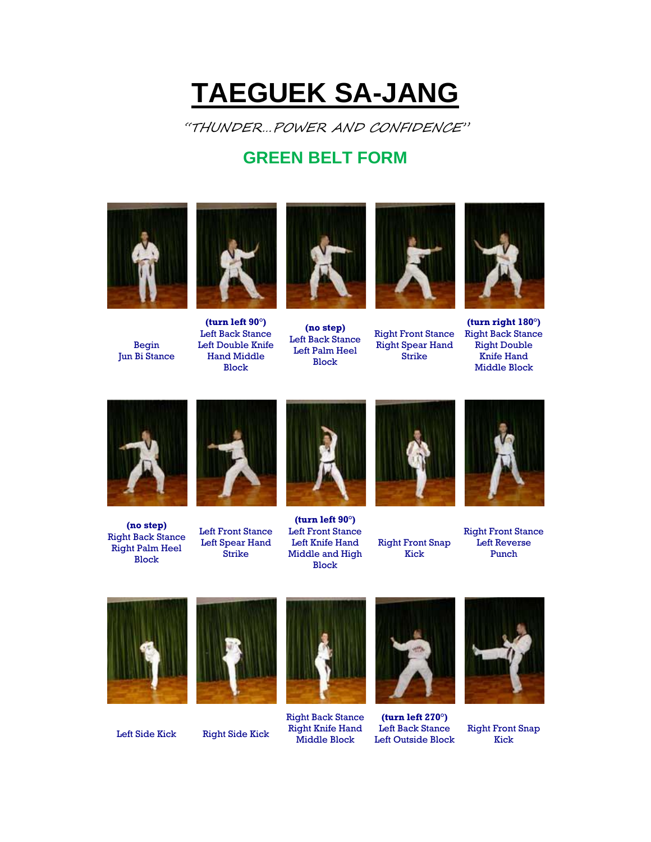## **TAEGUEK SA-JANG**

"THUNDER…POWER AND CONFIDENCE"

## **GREEN BELT FORM**



Begin Jun Bi Stance



**(turn left 90°)** Left Back Stance Left Double Knife Hand Middle Block



**(no step)** Left Back Stance Left Palm Heel Block



Right Front Stance Right Spear Hand Strike



**(turn right 180°)** Right Back Stance Right Double Knife Hand Middle Block



**(no step)** Right Back Stance Right Palm Heel Block



Left Front Stance Left Spear Hand Strike



**(turn left 90°)** Left Front Stance Left Knife Hand Middle and High Block



Right Front Snap Kick



Right Front Stance Left Reverse Punch





Left Side Kick Right Side Kick



Right Back Stance Right Knife Hand Middle Block



**(turn left 270°)** Left Back Stance Left Outside Block



Right Front Snap Kick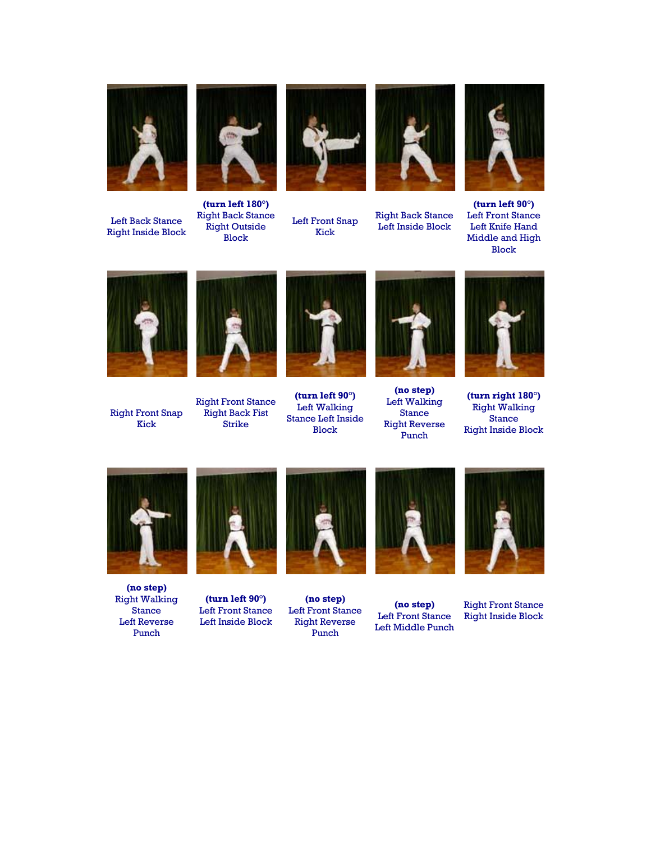

Left Back Stance Right Inside Block



**(turn left 180°)** Right Back Stance Right Outside Block



Left Front Snap Kick



Right Back Stance Left Inside Block



**(turn left 90°)** Left Front Stance Left Knife Hand Middle and High Block



Right Front Snap Kick



Right Front Stance Right Back Fist Strike



**(turn left 90°)** Left Walking Stance Left Inside Block



**(no step)** Left Walking Stance Right Reverse Punch



**(turn right 180°)** Right Walking Stance Right Inside Block



**(no step)** Right Walking Stance Left Reverse Punch



**(turn left 90°)** Left Front Stance Left Inside Block



**(no step)** Left Front Stance Right Reverse Punch



**(no step)** Left Front Stance Left Middle Punch



Right Front Stance Right Inside Block